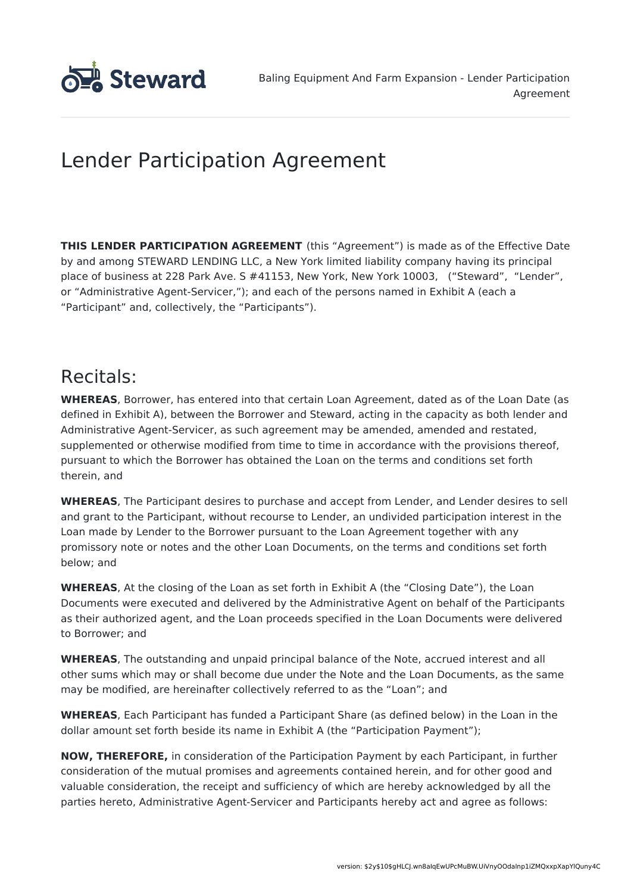

# Lender Participation Agreement

**THIS LENDER PARTICIPATION AGREEMENT** (this "Agreement") is made as of the Effective Date by and among STEWARD LENDING LLC, a New York limited liability company having its principal place of business at 228 Park Ave. S #41153, New York, New York 10003, ("Steward", "Lender", or "Administrative Agent-Servicer,"); and each of the persons named in Exhibit A (each a "Participant" and, collectively, the "Participants").

### Recitals:

**WHEREAS**, Borrower, has entered into that certain Loan Agreement, dated as of the Loan Date (as defined in Exhibit A), between the Borrower and Steward, acting in the capacity as both lender and Administrative Agent-Servicer, as such agreement may be amended, amended and restated, supplemented or otherwise modified from time to time in accordance with the provisions thereof, pursuant to which the Borrower has obtained the Loan on the terms and conditions set forth therein, and

**WHEREAS**, The Participant desires to purchase and accept from Lender, and Lender desires to sell and grant to the Participant, without recourse to Lender, an undivided participation interest in the Loan made by Lender to the Borrower pursuant to the Loan Agreement together with any promissory note or notes and the other Loan Documents, on the terms and conditions set forth below; and

**WHEREAS**, At the closing of the Loan as set forth in Exhibit A (the "Closing Date"), the Loan Documents were executed and delivered by the Administrative Agent on behalf of the Participants as their authorized agent, and the Loan proceeds specified in the Loan Documents were delivered to Borrower; and

**WHEREAS**, The outstanding and unpaid principal balance of the Note, accrued interest and all other sums which may or shall become due under the Note and the Loan Documents, as the same may be modified, are hereinafter collectively referred to as the "Loan"; and

**WHEREAS**, Each Participant has funded a Participant Share (as defined below) in the Loan in the dollar amount set forth beside its name in Exhibit A (the "Participation Payment");

**NOW, THEREFORE,** in consideration of the Participation Payment by each Participant, in further consideration of the mutual promises and agreements contained herein, and for other good and valuable consideration, the receipt and sufficiency of which are hereby acknowledged by all the parties hereto, Administrative Agent-Servicer and Participants hereby act and agree as follows: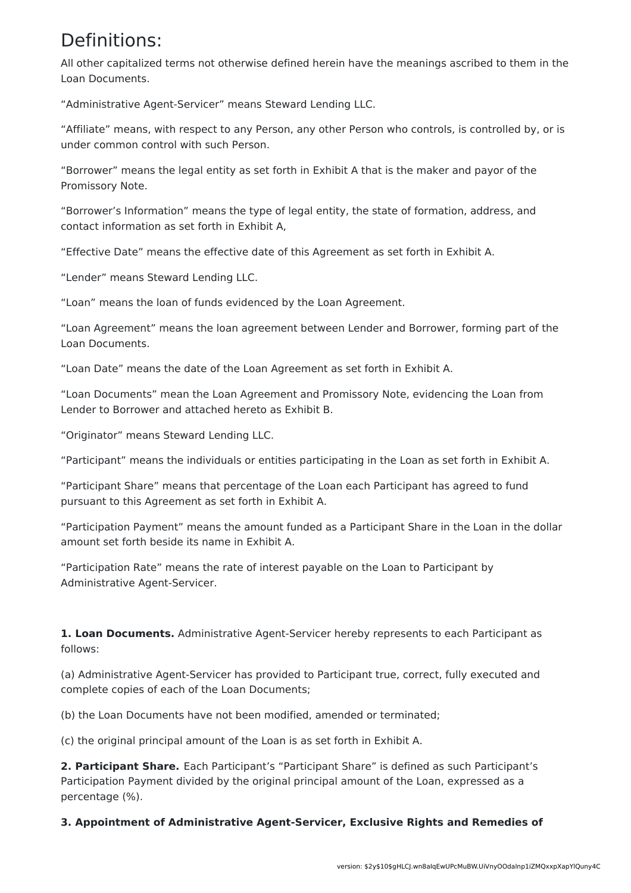## Definitions:

All other capitalized terms not otherwise defined herein have the meanings ascribed to them in the Loan Documents.

"Administrative Agent-Servicer" means Steward Lending LLC.

"Affiliate" means, with respect to any Person, any other Person who controls, is controlled by, or is under common control with such Person.

"Borrower" means the legal entity as set forth in Exhibit A that is the maker and payor of the Promissory Note.

"Borrower's Information" means the type of legal entity, the state of formation, address, and contact information as set forth in Exhibit A,

"Effective Date" means the effective date of this Agreement as set forth in Exhibit A.

"Lender" means Steward Lending LLC.

"Loan" means the loan of funds evidenced by the Loan Agreement.

"Loan Agreement" means the loan agreement between Lender and Borrower, forming part of the Loan Documents.

"Loan Date" means the date of the Loan Agreement as set forth in Exhibit A.

"Loan Documents" mean the Loan Agreement and Promissory Note, evidencing the Loan from Lender to Borrower and attached hereto as Exhibit B.

"Originator" means Steward Lending LLC.

"Participant" means the individuals or entities participating in the Loan as set forth in Exhibit A.

"Participant Share" means that percentage of the Loan each Participant has agreed to fund pursuant to this Agreement as set forth in Exhibit A.

"Participation Payment" means the amount funded as a Participant Share in the Loan in the dollar amount set forth beside its name in Exhibit A.

"Participation Rate" means the rate of interest payable on the Loan to Participant by Administrative Agent-Servicer.

**1. Loan Documents.** Administrative Agent-Servicer hereby represents to each Participant as follows:

(a) Administrative Agent-Servicer has provided to Participant true, correct, fully executed and complete copies of each of the Loan Documents;

(b) the Loan Documents have not been modified, amended or terminated;

(c) the original principal amount of the Loan is as set forth in Exhibit A.

**2. Participant Share.** Each Participant's "Participant Share" is defined as such Participant's Participation Payment divided by the original principal amount of the Loan, expressed as a percentage (%).

**3. Appointment of Administrative Agent-Servicer, Exclusive Rights and Remedies of**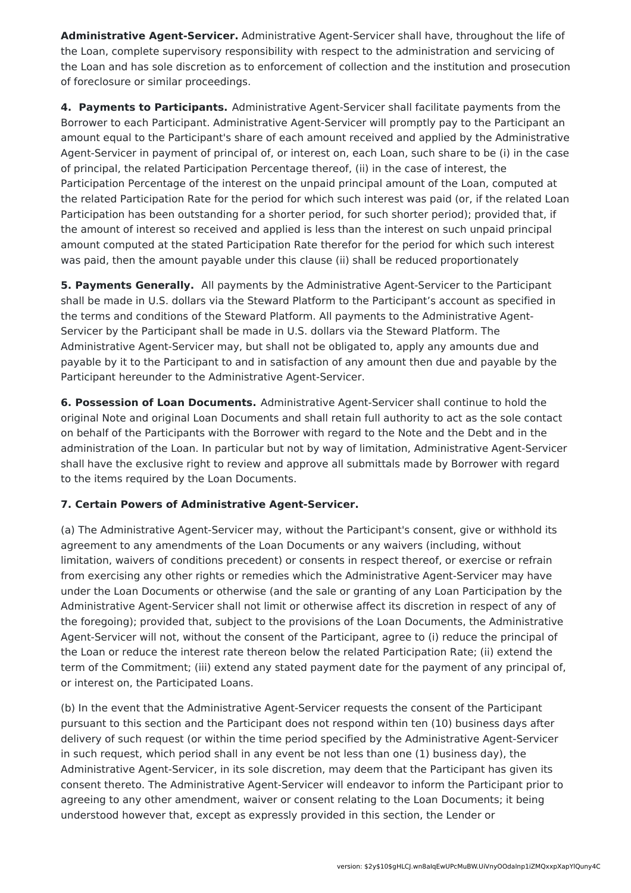**Administrative Agent-Servicer.** Administrative Agent-Servicer shall have, throughout the life of the Loan, complete supervisory responsibility with respect to the administration and servicing of the Loan and has sole discretion as to enforcement of collection and the institution and prosecution of foreclosure or similar proceedings.

**4. Payments to Participants.** Administrative Agent-Servicer shall facilitate payments from the Borrower to each Participant. Administrative Agent-Servicer will promptly pay to the Participant an amount equal to the Participant's share of each amount received and applied by the Administrative Agent-Servicer in payment of principal of, or interest on, each Loan, such share to be (i) in the case of principal, the related Participation Percentage thereof, (ii) in the case of interest, the Participation Percentage of the interest on the unpaid principal amount of the Loan, computed at the related Participation Rate for the period for which such interest was paid (or, if the related Loan Participation has been outstanding for a shorter period, for such shorter period); provided that, if the amount of interest so received and applied is less than the interest on such unpaid principal amount computed at the stated Participation Rate therefor for the period for which such interest was paid, then the amount payable under this clause (ii) shall be reduced proportionately

**5. Payments Generally.** All payments by the Administrative Agent-Servicer to the Participant shall be made in U.S. dollars via the Steward Platform to the Participant's account as specified in the terms and conditions of the Steward Platform. All payments to the Administrative Agent-Servicer by the Participant shall be made in U.S. dollars via the Steward Platform. The Administrative Agent-Servicer may, but shall not be obligated to, apply any amounts due and payable by it to the Participant to and in satisfaction of any amount then due and payable by the Participant hereunder to the Administrative Agent-Servicer.

**6. Possession of Loan Documents.** Administrative Agent-Servicer shall continue to hold the original Note and original Loan Documents and shall retain full authority to act as the sole contact on behalf of the Participants with the Borrower with regard to the Note and the Debt and in the administration of the Loan. In particular but not by way of limitation, Administrative Agent-Servicer shall have the exclusive right to review and approve all submittals made by Borrower with regard to the items required by the Loan Documents.

### **7. Certain Powers of Administrative Agent-Servicer.**

(a) The Administrative Agent-Servicer may, without the Participant's consent, give or withhold its agreement to any amendments of the Loan Documents or any waivers (including, without limitation, waivers of conditions precedent) or consents in respect thereof, or exercise or refrain from exercising any other rights or remedies which the Administrative Agent-Servicer may have under the Loan Documents or otherwise (and the sale or granting of any Loan Participation by the Administrative Agent-Servicer shall not limit or otherwise affect its discretion in respect of any of the foregoing); provided that, subject to the provisions of the Loan Documents, the Administrative Agent-Servicer will not, without the consent of the Participant, agree to (i) reduce the principal of the Loan or reduce the interest rate thereon below the related Participation Rate; (ii) extend the term of the Commitment; (iii) extend any stated payment date for the payment of any principal of, or interest on, the Participated Loans.

(b) In the event that the Administrative Agent-Servicer requests the consent of the Participant pursuant to this section and the Participant does not respond within ten (10) business days after delivery of such request (or within the time period specified by the Administrative Agent-Servicer in such request, which period shall in any event be not less than one (1) business day), the Administrative Agent-Servicer, in its sole discretion, may deem that the Participant has given its consent thereto. The Administrative Agent-Servicer will endeavor to inform the Participant prior to agreeing to any other amendment, waiver or consent relating to the Loan Documents; it being understood however that, except as expressly provided in this section, the Lender or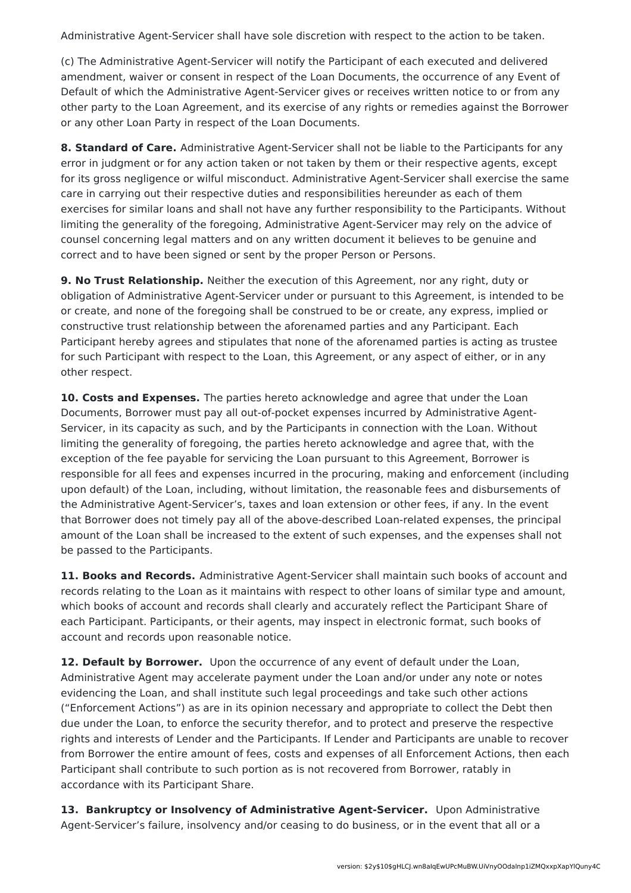Administrative Agent-Servicer shall have sole discretion with respect to the action to be taken.

(c) The Administrative Agent-Servicer will notify the Participant of each executed and delivered amendment, waiver or consent in respect of the Loan Documents, the occurrence of any Event of Default of which the Administrative Agent-Servicer gives or receives written notice to or from any other party to the Loan Agreement, and its exercise of any rights or remedies against the Borrower or any other Loan Party in respect of the Loan Documents.

**8. Standard of Care.** Administrative Agent-Servicer shall not be liable to the Participants for any error in judgment or for any action taken or not taken by them or their respective agents, except for its gross negligence or wilful misconduct. Administrative Agent-Servicer shall exercise the same care in carrying out their respective duties and responsibilities hereunder as each of them exercises for similar loans and shall not have any further responsibility to the Participants. Without limiting the generality of the foregoing, Administrative Agent-Servicer may rely on the advice of counsel concerning legal matters and on any written document it believes to be genuine and correct and to have been signed or sent by the proper Person or Persons.

**9. No Trust Relationship.** Neither the execution of this Agreement, nor any right, duty or obligation of Administrative Agent-Servicer under or pursuant to this Agreement, is intended to be or create, and none of the foregoing shall be construed to be or create, any express, implied or constructive trust relationship between the aforenamed parties and any Participant. Each Participant hereby agrees and stipulates that none of the aforenamed parties is acting as trustee for such Participant with respect to the Loan, this Agreement, or any aspect of either, or in any other respect.

**10. Costs and Expenses.** The parties hereto acknowledge and agree that under the Loan Documents, Borrower must pay all out-of-pocket expenses incurred by Administrative Agent-Servicer, in its capacity as such, and by the Participants in connection with the Loan. Without limiting the generality of foregoing, the parties hereto acknowledge and agree that, with the exception of the fee payable for servicing the Loan pursuant to this Agreement, Borrower is responsible for all fees and expenses incurred in the procuring, making and enforcement (including upon default) of the Loan, including, without limitation, the reasonable fees and disbursements of the Administrative Agent-Servicer's, taxes and loan extension or other fees, if any. In the event that Borrower does not timely pay all of the above-described Loan-related expenses, the principal amount of the Loan shall be increased to the extent of such expenses, and the expenses shall not be passed to the Participants.

**11. Books and Records.** Administrative Agent-Servicer shall maintain such books of account and records relating to the Loan as it maintains with respect to other loans of similar type and amount, which books of account and records shall clearly and accurately reflect the Participant Share of each Participant. Participants, or their agents, may inspect in electronic format, such books of account and records upon reasonable notice.

**12. Default by Borrower.** Upon the occurrence of any event of default under the Loan, Administrative Agent may accelerate payment under the Loan and/or under any note or notes evidencing the Loan, and shall institute such legal proceedings and take such other actions ("Enforcement Actions") as are in its opinion necessary and appropriate to collect the Debt then due under the Loan, to enforce the security therefor, and to protect and preserve the respective rights and interests of Lender and the Participants. If Lender and Participants are unable to recover from Borrower the entire amount of fees, costs and expenses of all Enforcement Actions, then each Participant shall contribute to such portion as is not recovered from Borrower, ratably in accordance with its Participant Share.

**13. Bankruptcy or Insolvency of Administrative Agent-Servicer.** Upon Administrative Agent-Servicer's failure, insolvency and/or ceasing to do business, or in the event that all or a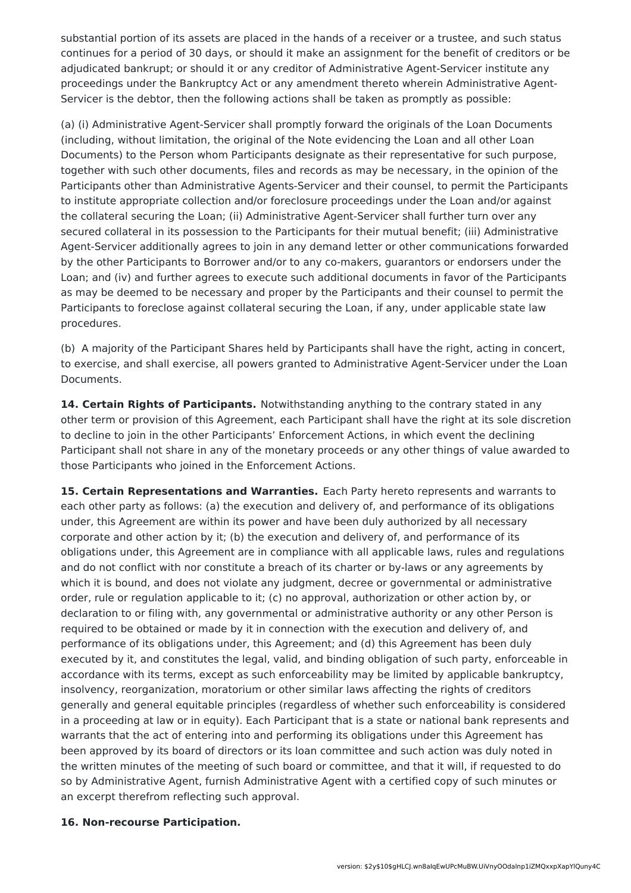substantial portion of its assets are placed in the hands of a receiver or a trustee, and such status continues for a period of 30 days, or should it make an assignment for the benefit of creditors or be adjudicated bankrupt; or should it or any creditor of Administrative Agent-Servicer institute any proceedings under the Bankruptcy Act or any amendment thereto wherein Administrative Agent-Servicer is the debtor, then the following actions shall be taken as promptly as possible:

(a) (i) Administrative Agent-Servicer shall promptly forward the originals of the Loan Documents (including, without limitation, the original of the Note evidencing the Loan and all other Loan Documents) to the Person whom Participants designate as their representative for such purpose, together with such other documents, files and records as may be necessary, in the opinion of the Participants other than Administrative Agents-Servicer and their counsel, to permit the Participants to institute appropriate collection and/or foreclosure proceedings under the Loan and/or against the collateral securing the Loan; (ii) Administrative Agent-Servicer shall further turn over any secured collateral in its possession to the Participants for their mutual benefit; (iii) Administrative Agent-Servicer additionally agrees to join in any demand letter or other communications forwarded by the other Participants to Borrower and/or to any co-makers, guarantors or endorsers under the Loan; and (iv) and further agrees to execute such additional documents in favor of the Participants as may be deemed to be necessary and proper by the Participants and their counsel to permit the Participants to foreclose against collateral securing the Loan, if any, under applicable state law procedures.

(b) A majority of the Participant Shares held by Participants shall have the right, acting in concert, to exercise, and shall exercise, all powers granted to Administrative Agent-Servicer under the Loan Documents.

**14. Certain Rights of Participants.** Notwithstanding anything to the contrary stated in any other term or provision of this Agreement, each Participant shall have the right at its sole discretion to decline to join in the other Participants' Enforcement Actions, in which event the declining Participant shall not share in any of the monetary proceeds or any other things of value awarded to those Participants who joined in the Enforcement Actions.

**15. Certain Representations and Warranties.** Each Party hereto represents and warrants to each other party as follows: (a) the execution and delivery of, and performance of its obligations under, this Agreement are within its power and have been duly authorized by all necessary corporate and other action by it; (b) the execution and delivery of, and performance of its obligations under, this Agreement are in compliance with all applicable laws, rules and regulations and do not conflict with nor constitute a breach of its charter or by-laws or any agreements by which it is bound, and does not violate any judgment, decree or governmental or administrative order, rule or regulation applicable to it; (c) no approval, authorization or other action by, or declaration to or filing with, any governmental or administrative authority or any other Person is required to be obtained or made by it in connection with the execution and delivery of, and performance of its obligations under, this Agreement; and (d) this Agreement has been duly executed by it, and constitutes the legal, valid, and binding obligation of such party, enforceable in accordance with its terms, except as such enforceability may be limited by applicable bankruptcy, insolvency, reorganization, moratorium or other similar laws affecting the rights of creditors generally and general equitable principles (regardless of whether such enforceability is considered in a proceeding at law or in equity). Each Participant that is a state or national bank represents and warrants that the act of entering into and performing its obligations under this Agreement has been approved by its board of directors or its loan committee and such action was duly noted in the written minutes of the meeting of such board or committee, and that it will, if requested to do so by Administrative Agent, furnish Administrative Agent with a certified copy of such minutes or an excerpt therefrom reflecting such approval.

#### **16. Non-recourse Participation.**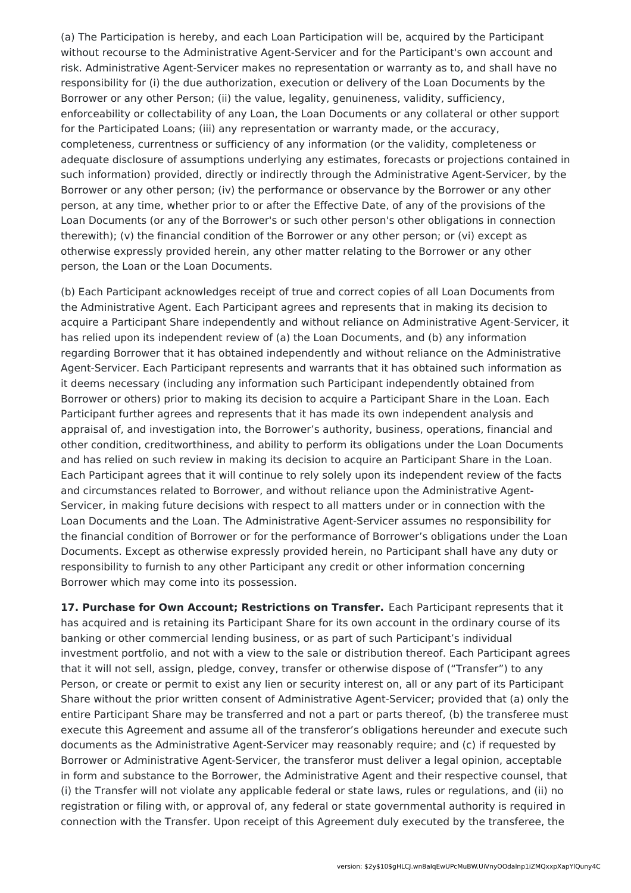(a) The Participation is hereby, and each Loan Participation will be, acquired by the Participant without recourse to the Administrative Agent-Servicer and for the Participant's own account and risk. Administrative Agent-Servicer makes no representation or warranty as to, and shall have no responsibility for (i) the due authorization, execution or delivery of the Loan Documents by the Borrower or any other Person; (ii) the value, legality, genuineness, validity, sufficiency, enforceability or collectability of any Loan, the Loan Documents or any collateral or other support for the Participated Loans; (iii) any representation or warranty made, or the accuracy, completeness, currentness or sufficiency of any information (or the validity, completeness or adequate disclosure of assumptions underlying any estimates, forecasts or projections contained in such information) provided, directly or indirectly through the Administrative Agent-Servicer, by the Borrower or any other person; (iv) the performance or observance by the Borrower or any other person, at any time, whether prior to or after the Effective Date, of any of the provisions of the Loan Documents (or any of the Borrower's or such other person's other obligations in connection therewith); (v) the financial condition of the Borrower or any other person; or (vi) except as otherwise expressly provided herein, any other matter relating to the Borrower or any other person, the Loan or the Loan Documents.

(b) Each Participant acknowledges receipt of true and correct copies of all Loan Documents from the Administrative Agent. Each Participant agrees and represents that in making its decision to acquire a Participant Share independently and without reliance on Administrative Agent-Servicer, it has relied upon its independent review of (a) the Loan Documents, and (b) any information regarding Borrower that it has obtained independently and without reliance on the Administrative Agent-Servicer. Each Participant represents and warrants that it has obtained such information as it deems necessary (including any information such Participant independently obtained from Borrower or others) prior to making its decision to acquire a Participant Share in the Loan. Each Participant further agrees and represents that it has made its own independent analysis and appraisal of, and investigation into, the Borrower's authority, business, operations, financial and other condition, creditworthiness, and ability to perform its obligations under the Loan Documents and has relied on such review in making its decision to acquire an Participant Share in the Loan. Each Participant agrees that it will continue to rely solely upon its independent review of the facts and circumstances related to Borrower, and without reliance upon the Administrative Agent-Servicer, in making future decisions with respect to all matters under or in connection with the Loan Documents and the Loan. The Administrative Agent-Servicer assumes no responsibility for the financial condition of Borrower or for the performance of Borrower's obligations under the Loan Documents. Except as otherwise expressly provided herein, no Participant shall have any duty or responsibility to furnish to any other Participant any credit or other information concerning Borrower which may come into its possession.

**17. Purchase for Own Account; Restrictions on Transfer.** Each Participant represents that it has acquired and is retaining its Participant Share for its own account in the ordinary course of its banking or other commercial lending business, or as part of such Participant's individual investment portfolio, and not with a view to the sale or distribution thereof. Each Participant agrees that it will not sell, assign, pledge, convey, transfer or otherwise dispose of ("Transfer") to any Person, or create or permit to exist any lien or security interest on, all or any part of its Participant Share without the prior written consent of Administrative Agent-Servicer; provided that (a) only the entire Participant Share may be transferred and not a part or parts thereof, (b) the transferee must execute this Agreement and assume all of the transferor's obligations hereunder and execute such documents as the Administrative Agent-Servicer may reasonably require; and (c) if requested by Borrower or Administrative Agent-Servicer, the transferor must deliver a legal opinion, acceptable in form and substance to the Borrower, the Administrative Agent and their respective counsel, that (i) the Transfer will not violate any applicable federal or state laws, rules or regulations, and (ii) no registration or filing with, or approval of, any federal or state governmental authority is required in connection with the Transfer. Upon receipt of this Agreement duly executed by the transferee, the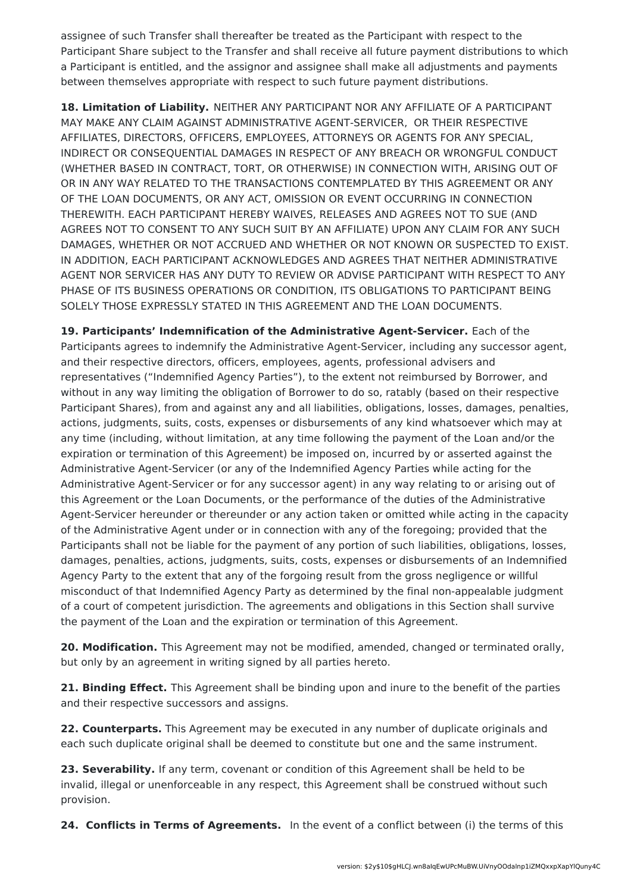assignee of such Transfer shall thereafter be treated as the Participant with respect to the Participant Share subject to the Transfer and shall receive all future payment distributions to which a Participant is entitled, and the assignor and assignee shall make all adjustments and payments between themselves appropriate with respect to such future payment distributions.

**18. Limitation of Liability.** NEITHER ANY PARTICIPANT NOR ANY AFFILIATE OF A PARTICIPANT MAY MAKE ANY CLAIM AGAINST ADMINISTRATIVE AGENT-SERVICER, OR THEIR RESPECTIVE AFFILIATES, DIRECTORS, OFFICERS, EMPLOYEES, ATTORNEYS OR AGENTS FOR ANY SPECIAL, INDIRECT OR CONSEQUENTIAL DAMAGES IN RESPECT OF ANY BREACH OR WRONGFUL CONDUCT (WHETHER BASED IN CONTRACT, TORT, OR OTHERWISE) IN CONNECTION WITH, ARISING OUT OF OR IN ANY WAY RELATED TO THE TRANSACTIONS CONTEMPLATED BY THIS AGREEMENT OR ANY OF THE LOAN DOCUMENTS, OR ANY ACT, OMISSION OR EVENT OCCURRING IN CONNECTION THEREWITH. EACH PARTICIPANT HEREBY WAIVES, RELEASES AND AGREES NOT TO SUE (AND AGREES NOT TO CONSENT TO ANY SUCH SUIT BY AN AFFILIATE) UPON ANY CLAIM FOR ANY SUCH DAMAGES, WHETHER OR NOT ACCRUED AND WHETHER OR NOT KNOWN OR SUSPECTED TO EXIST. IN ADDITION, EACH PARTICIPANT ACKNOWLEDGES AND AGREES THAT NEITHER ADMINISTRATIVE AGENT NOR SERVICER HAS ANY DUTY TO REVIEW OR ADVISE PARTICIPANT WITH RESPECT TO ANY PHASE OF ITS BUSINESS OPERATIONS OR CONDITION, ITS OBLIGATIONS TO PARTICIPANT BEING SOLELY THOSE EXPRESSLY STATED IN THIS AGREEMENT AND THE LOAN DOCUMENTS.

**19. Participants' Indemnification of the Administrative Agent-Servicer.** Each of the Participants agrees to indemnify the Administrative Agent-Servicer, including any successor agent, and their respective directors, officers, employees, agents, professional advisers and representatives ("Indemnified Agency Parties"), to the extent not reimbursed by Borrower, and without in any way limiting the obligation of Borrower to do so, ratably (based on their respective Participant Shares), from and against any and all liabilities, obligations, losses, damages, penalties, actions, judgments, suits, costs, expenses or disbursements of any kind whatsoever which may at any time (including, without limitation, at any time following the payment of the Loan and/or the expiration or termination of this Agreement) be imposed on, incurred by or asserted against the Administrative Agent-Servicer (or any of the Indemnified Agency Parties while acting for the Administrative Agent-Servicer or for any successor agent) in any way relating to or arising out of this Agreement or the Loan Documents, or the performance of the duties of the Administrative Agent-Servicer hereunder or thereunder or any action taken or omitted while acting in the capacity of the Administrative Agent under or in connection with any of the foregoing; provided that the Participants shall not be liable for the payment of any portion of such liabilities, obligations, losses, damages, penalties, actions, judgments, suits, costs, expenses or disbursements of an Indemnified Agency Party to the extent that any of the forgoing result from the gross negligence or willful misconduct of that Indemnified Agency Party as determined by the final non-appealable judgment of a court of competent jurisdiction. The agreements and obligations in this Section shall survive the payment of the Loan and the expiration or termination of this Agreement.

**20. Modification.** This Agreement may not be modified, amended, changed or terminated orally, but only by an agreement in writing signed by all parties hereto.

**21. Binding Effect.** This Agreement shall be binding upon and inure to the benefit of the parties and their respective successors and assigns.

**22. Counterparts.** This Agreement may be executed in any number of duplicate originals and each such duplicate original shall be deemed to constitute but one and the same instrument.

**23. Severability.** If any term, covenant or condition of this Agreement shall be held to be invalid, illegal or unenforceable in any respect, this Agreement shall be construed without such provision.

**24. Conflicts in Terms of Agreements.** In the event of a conflict between (i) the terms of this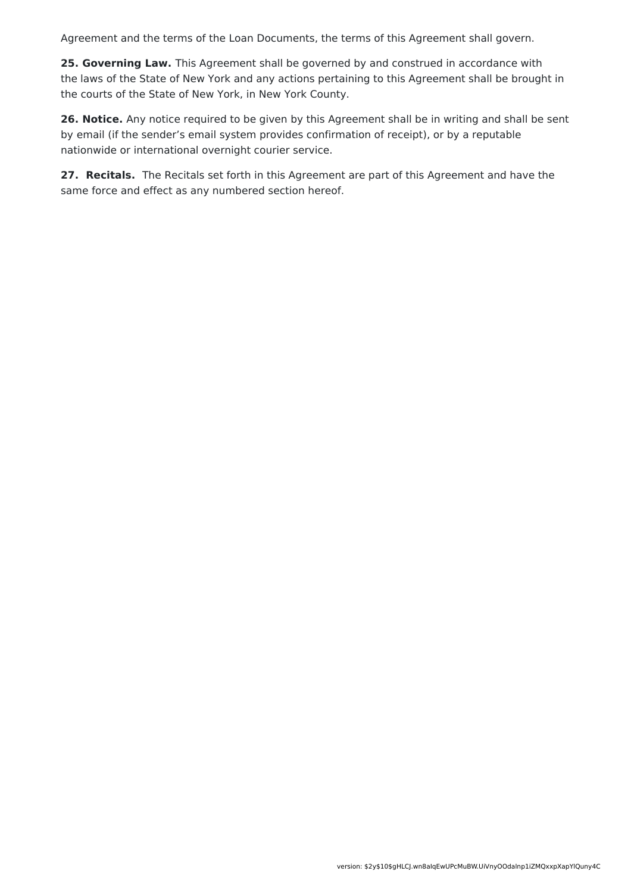Agreement and the terms of the Loan Documents, the terms of this Agreement shall govern.

**25. Governing Law.** This Agreement shall be governed by and construed in accordance with the laws of the State of New York and any actions pertaining to this Agreement shall be brought in the courts of the State of New York, in New York County.

**26. Notice.** Any notice required to be given by this Agreement shall be in writing and shall be sent by email (if the sender's email system provides confirmation of receipt), or by a reputable nationwide or international overnight courier service.

**27. Recitals.** The Recitals set forth in this Agreement are part of this Agreement and have the same force and effect as any numbered section hereof.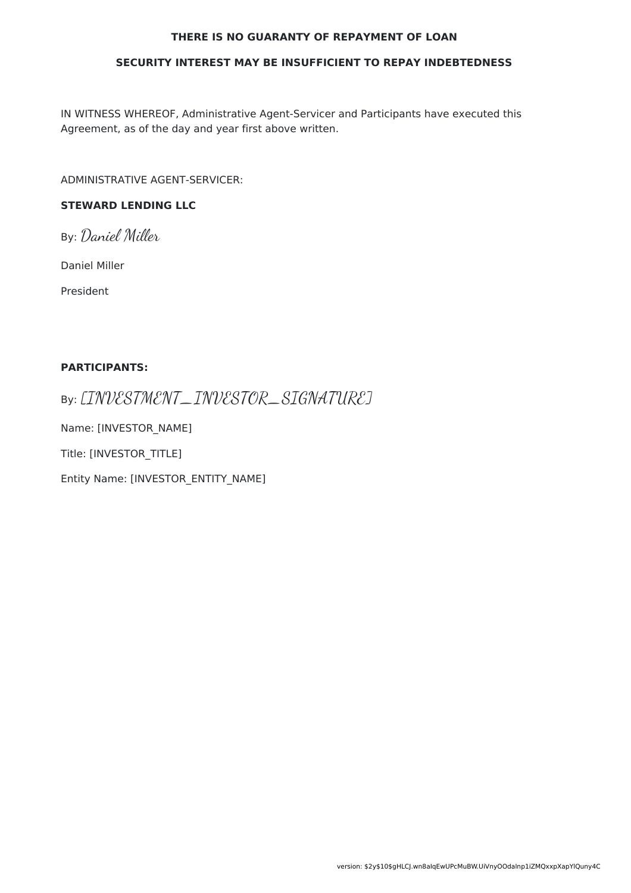#### **THERE IS NO GUARANTY OF REPAYMENT OF LOAN**

#### **SECURITY INTEREST MAY BE INSUFFICIENT TO REPAY INDEBTEDNESS**

IN WITNESS WHEREOF, Administrative Agent-Servicer and Participants have executed this Agreement, as of the day and year first above written.

ADMINISTRATIVE AGENT-SERVICER:

### **STEWARD LENDING LLC**

By: Daniel Miller

Daniel Miller

President

#### **PARTICIPANTS:**

By: [INVESTMENT\_INVESTOR\_SIGNATURE]

Name: [INVESTOR\_NAME]

Title: [INVESTOR\_TITLE]

Entity Name: [INVESTOR\_ENTITY\_NAME]